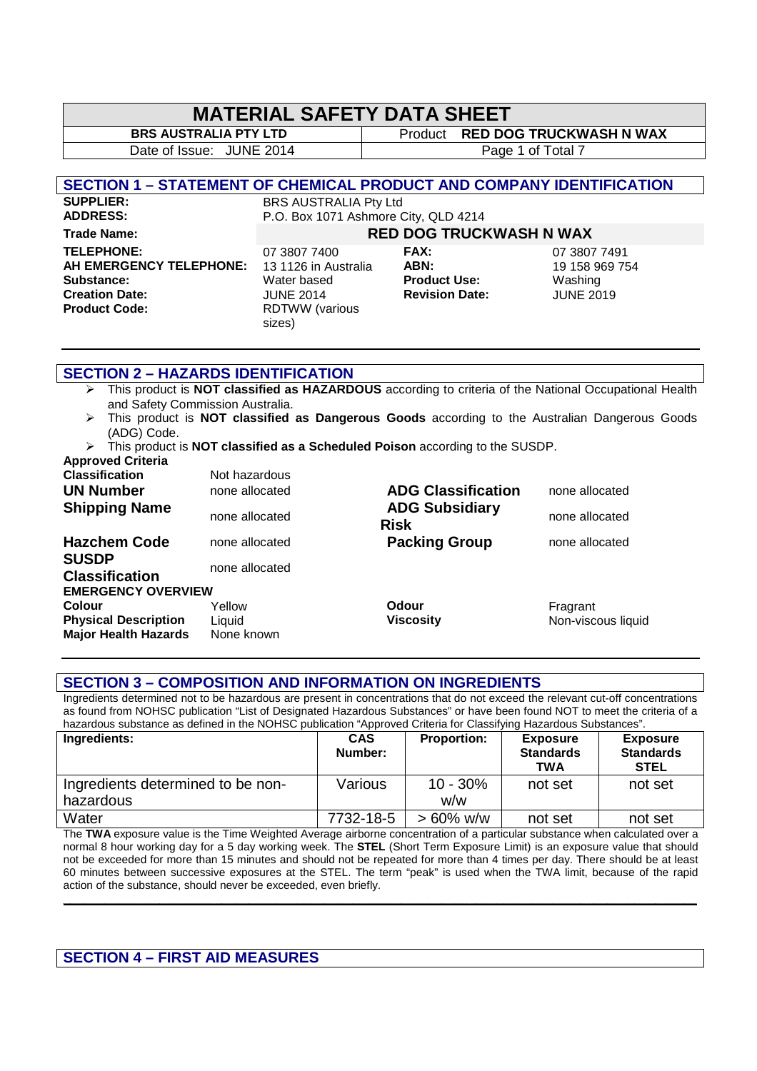### **MATERIAL SAFETY DATA SHEET**

**BRS AUSTRALIA PTY LTD** Product **RED DOG TRUCKWASH N WAX** Date of Issue: JUNE 2014 and Table 1 of Total 7

#### **SECTION 1 – STATEMENT OF CHEMICAL PRODUCT AND COMPANY IDENTIFICATION**

**SUPPLIER:** BRS AUSTRALIA Pty Ltd<br> **ADDRESS:** P.O. Box 1071 Ashmore ( P.O. Box 1071 Ashmore City, QLD 4214

#### **Trade Name: RED DOG TRUCKWASH N WAX**

**TELEPHONE:** 07 3807 7400 **FAX:** 07 3807 7491 **AH EMERGENCY TELEPHONE:** 13 1126 in Australia **ABN:** 19 158 969 754 **Substance:** Water based **Product Use:** Washing **Creation Date: Creation Date:** JUNE 2014 **Revision Date:** JUNE 2019<br>**Product Code: RDTWW (various** 

**RDTWW** (various sizes)

#### **SECTION 2 – HAZARDS IDENTIFICATION**

- This product is **NOT classified as HAZARDOUS** according to criteria of the National Occupational Health and Safety Commission Australia.
- This product is **NOT classified as Dangerous Goods** according to the Australian Dangerous Goods (ADG) Code.
- This product is **NOT classified as a Scheduled Poison** according to the SUSDP. **Approved Criteria**

| <b>Classification</b><br><b>UN Number</b><br><b>Shipping Name</b>                                        | Not hazardous<br>none allocated<br>none allocated | <b>ADG Classification</b><br><b>ADG Subsidiary</b><br><b>Risk</b> | none allocated<br>none allocated |
|----------------------------------------------------------------------------------------------------------|---------------------------------------------------|-------------------------------------------------------------------|----------------------------------|
| <b>Hazchem Code</b><br><b>SUSDP</b><br><b>Classification</b>                                             | none allocated<br>none allocated                  | <b>Packing Group</b>                                              | none allocated                   |
| <b>EMERGENCY OVERVIEW</b><br><b>Colour</b><br><b>Physical Description</b><br><b>Major Health Hazards</b> | Yellow<br>Liquid<br>None known                    | <b>Odour</b><br><b>Viscosity</b>                                  | Fragrant<br>Non-viscous liquid   |

#### **SECTION 3 – COMPOSITION AND INFORMATION ON INGREDIENTS**

Ingredients determined not to be hazardous are present in concentrations that do not exceed the relevant cut-off concentrations as found from NOHSC publication "List of Designated Hazardous Substances" or have been found NOT to meet the criteria of a hazardous substance as defined in the NOHSC publication "Approved Criteria for Classifying Hazardous Substances".

| Ingredients:                      | <b>CAS</b><br>Number: | <b>Proportion:</b> | <b>Exposure</b><br><b>Standards</b><br><b>TWA</b> | <b>Exposure</b><br><b>Standards</b><br><b>STEL</b> |
|-----------------------------------|-----------------------|--------------------|---------------------------------------------------|----------------------------------------------------|
| Ingredients determined to be non- | Various               | $10 - 30%$         | not set                                           | not set                                            |
| hazardous                         |                       | w/w                |                                                   |                                                    |
| Water                             | 7732-18-5             | $> 60\%$ w/w       | not set                                           | not set                                            |

The **TWA** exposure value is the Time Weighted Average airborne concentration of a particular substance when calculated over a normal 8 hour working day for a 5 day working week. The **STEL** (Short Term Exposure Limit) is an exposure value that should not be exceeded for more than 15 minutes and should not be repeated for more than 4 times per day. There should be at least 60 minutes between successive exposures at the STEL. The term "peak" is used when the TWA limit, because of the rapid action of the substance, should never be exceeded, even briefly.

**\_\_\_\_\_\_\_\_\_\_\_\_\_\_\_\_\_\_\_\_\_\_\_\_\_\_\_\_\_\_\_\_\_\_\_\_\_\_\_\_\_\_\_\_\_\_\_\_\_\_\_\_\_\_\_\_\_\_\_\_\_\_\_\_\_\_\_\_\_\_\_\_\_\_\_\_\_\_\_\_\_\_\_\_\_\_\_\_\_\_\_\_** 

#### **SECTION 4 – FIRST AID MEASURES**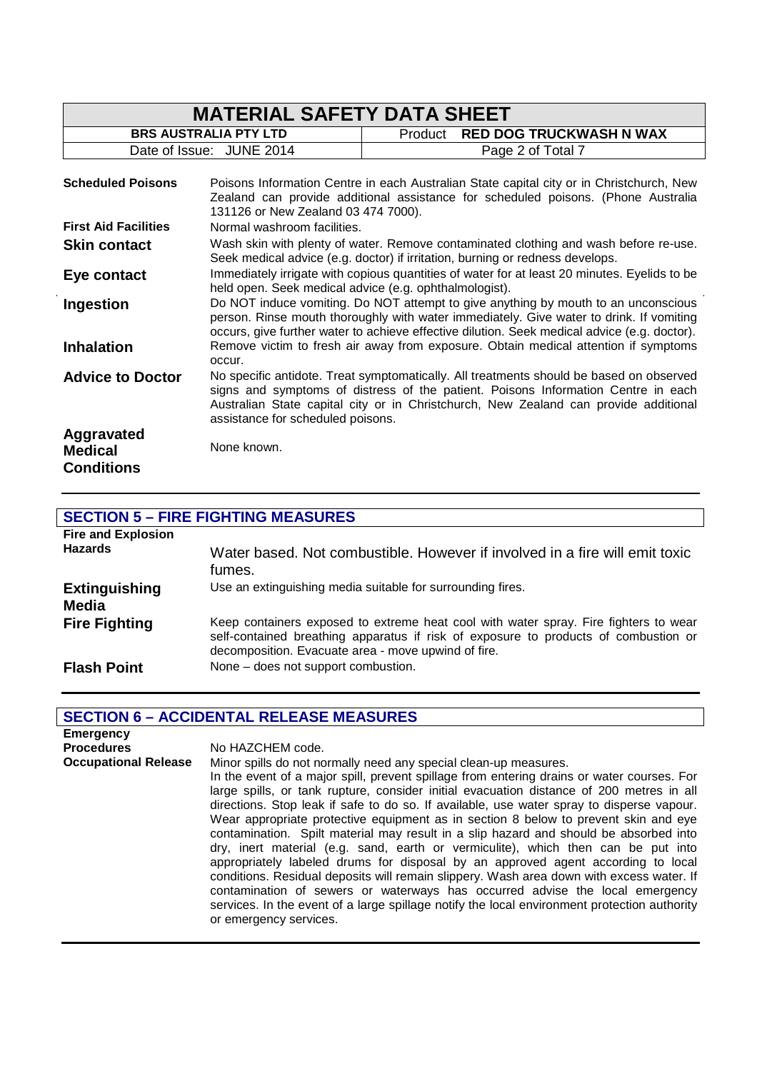| <b>MATERIAL SAFETY DATA SHEET</b>                 |                                                                                                                                                        |                                           |                                                                                                                                                                                                                                                                               |
|---------------------------------------------------|--------------------------------------------------------------------------------------------------------------------------------------------------------|-------------------------------------------|-------------------------------------------------------------------------------------------------------------------------------------------------------------------------------------------------------------------------------------------------------------------------------|
| <b>BRS AUSTRALIA PTY LTD</b>                      |                                                                                                                                                        | <b>RED DOG TRUCKWASH N WAX</b><br>Product |                                                                                                                                                                                                                                                                               |
|                                                   | Date of Issue: JUNE 2014                                                                                                                               |                                           | Page 2 of Total 7                                                                                                                                                                                                                                                             |
| <b>Scheduled Poisons</b>                          | 131126 or New Zealand 03 474 7000).                                                                                                                    |                                           | Poisons Information Centre in each Australian State capital city or in Christchurch, New<br>Zealand can provide additional assistance for scheduled poisons. (Phone Australia                                                                                                 |
| <b>First Aid Facilities</b>                       | Normal washroom facilities.                                                                                                                            |                                           |                                                                                                                                                                                                                                                                               |
| <b>Skin contact</b>                               | Seek medical advice (e.g. doctor) if irritation, burning or redness develops.                                                                          |                                           | Wash skin with plenty of water. Remove contaminated clothing and wash before re-use.                                                                                                                                                                                          |
| Eye contact                                       | Immediately irrigate with copious quantities of water for at least 20 minutes. Eyelids to be<br>held open. Seek medical advice (e.g. ophthalmologist). |                                           |                                                                                                                                                                                                                                                                               |
| Ingestion                                         |                                                                                                                                                        |                                           | Do NOT induce vomiting. Do NOT attempt to give anything by mouth to an unconscious<br>person. Rinse mouth thoroughly with water immediately. Give water to drink. If vomiting<br>occurs, give further water to achieve effective dilution. Seek medical advice (e.g. doctor). |
| <b>Inhalation</b>                                 | occur.                                                                                                                                                 |                                           | Remove victim to fresh air away from exposure. Obtain medical attention if symptoms                                                                                                                                                                                           |
| <b>Advice to Doctor</b>                           | assistance for scheduled poisons.                                                                                                                      |                                           | No specific antidote. Treat symptomatically. All treatments should be based on observed<br>signs and symptoms of distress of the patient. Poisons Information Centre in each<br>Australian State capital city or in Christchurch, New Zealand can provide additional          |
| Aggravated<br><b>Medical</b><br><b>Conditions</b> | None known.                                                                                                                                            |                                           |                                                                                                                                                                                                                                                                               |

## **SECTION 5 – FIRE FIGHTING MEASURES**

| <b>Fire and Explosion</b><br><b>Hazards</b> | Water based. Not combustible. However if involved in a fire will emit toxic<br>fumes.                                                                                                                                              |
|---------------------------------------------|------------------------------------------------------------------------------------------------------------------------------------------------------------------------------------------------------------------------------------|
| <b>Extinguishing</b><br><b>Media</b>        | Use an extinguishing media suitable for surrounding fires.                                                                                                                                                                         |
| <b>Fire Fighting</b>                        | Keep containers exposed to extreme heat cool with water spray. Fire fighters to wear<br>self-contained breathing apparatus if risk of exposure to products of combustion or<br>decomposition. Evacuate area - move upwind of fire. |
| <b>Flash Point</b>                          | None – does not support combustion.                                                                                                                                                                                                |

## **SECTION 6 – ACCIDENTAL RELEASE MEASURES**

| <b>Emergency</b><br><b>Procedures</b> | No HAZCHEM code.                                                                                                                                                                                                                                                                                                                                                                                                                                                                                                                                                                                                                                                                                                                                                                                                                                                                                                                                                                                                       |
|---------------------------------------|------------------------------------------------------------------------------------------------------------------------------------------------------------------------------------------------------------------------------------------------------------------------------------------------------------------------------------------------------------------------------------------------------------------------------------------------------------------------------------------------------------------------------------------------------------------------------------------------------------------------------------------------------------------------------------------------------------------------------------------------------------------------------------------------------------------------------------------------------------------------------------------------------------------------------------------------------------------------------------------------------------------------|
| <b>Occupational Release</b>           | Minor spills do not normally need any special clean-up measures.<br>In the event of a major spill, prevent spillage from entering drains or water courses. For<br>large spills, or tank rupture, consider initial evacuation distance of 200 metres in all<br>directions. Stop leak if safe to do so. If available, use water spray to disperse vapour.<br>Wear appropriate protective equipment as in section 8 below to prevent skin and eye<br>contamination. Spilt material may result in a slip hazard and should be absorbed into<br>dry, inert material (e.g. sand, earth or vermiculite), which then can be put into<br>appropriately labeled drums for disposal by an approved agent according to local<br>conditions. Residual deposits will remain slippery. Wash area down with excess water. If<br>contamination of sewers or waterways has occurred advise the local emergency<br>services. In the event of a large spillage notify the local environment protection authority<br>or emergency services. |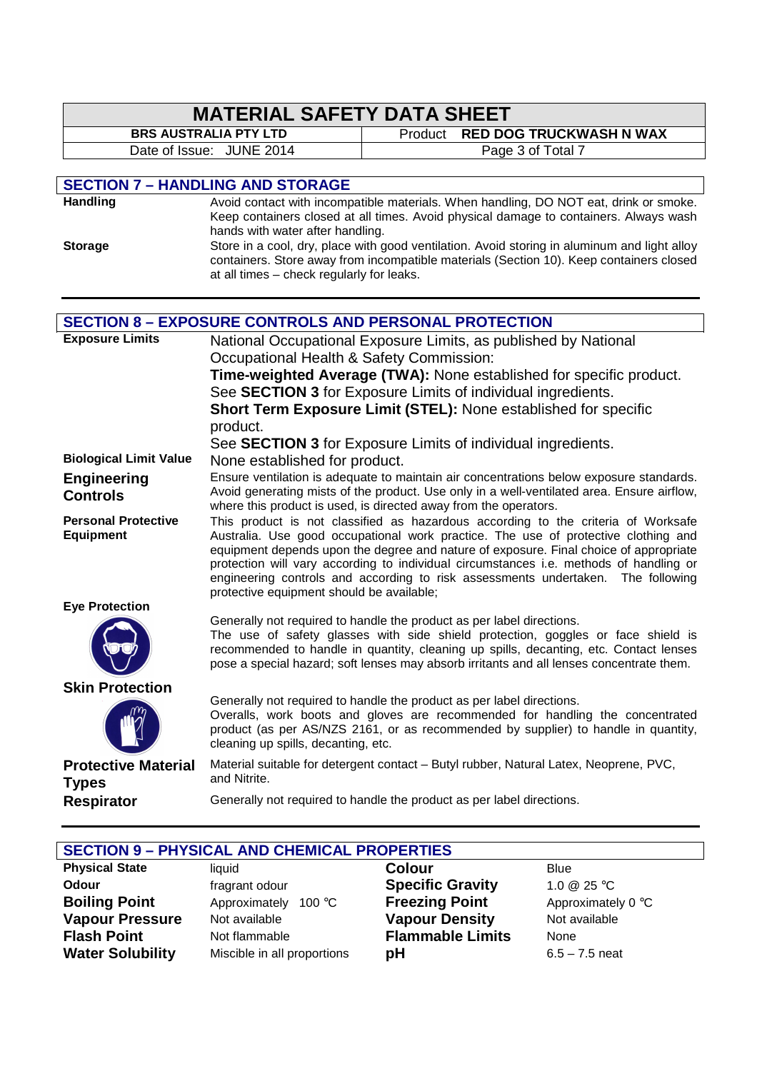| <b>MATERIAL SAFETY DATA SHEET</b>              |                                                                                                                                                                                                                                                                                                                                                                                                                                                                                             |                                                                                                                                                                                                                                                                                                                                                  |  |
|------------------------------------------------|---------------------------------------------------------------------------------------------------------------------------------------------------------------------------------------------------------------------------------------------------------------------------------------------------------------------------------------------------------------------------------------------------------------------------------------------------------------------------------------------|--------------------------------------------------------------------------------------------------------------------------------------------------------------------------------------------------------------------------------------------------------------------------------------------------------------------------------------------------|--|
|                                                | <b>BRS AUSTRALIA PTY LTD</b>                                                                                                                                                                                                                                                                                                                                                                                                                                                                | <b>RED DOG TRUCKWASH N WAX</b><br>Product                                                                                                                                                                                                                                                                                                        |  |
| Date of Issue: JUNE 2014                       |                                                                                                                                                                                                                                                                                                                                                                                                                                                                                             | Page 3 of Total 7                                                                                                                                                                                                                                                                                                                                |  |
|                                                |                                                                                                                                                                                                                                                                                                                                                                                                                                                                                             |                                                                                                                                                                                                                                                                                                                                                  |  |
|                                                | <b>SECTION 7 - HANDLING AND STORAGE</b>                                                                                                                                                                                                                                                                                                                                                                                                                                                     |                                                                                                                                                                                                                                                                                                                                                  |  |
| <b>Handling</b><br><b>Storage</b>              | Avoid contact with incompatible materials. When handling, DO NOT eat, drink or smoke.<br>Keep containers closed at all times. Avoid physical damage to containers. Always wash<br>hands with water after handling.<br>Store in a cool, dry, place with good ventilation. Avoid storing in aluminum and light alloy<br>containers. Store away from incompatible materials (Section 10). Keep containers closed<br>at all times - check regularly for leaks.                                  |                                                                                                                                                                                                                                                                                                                                                  |  |
|                                                |                                                                                                                                                                                                                                                                                                                                                                                                                                                                                             |                                                                                                                                                                                                                                                                                                                                                  |  |
|                                                |                                                                                                                                                                                                                                                                                                                                                                                                                                                                                             | <b>SECTION 8 - EXPOSURE CONTROLS AND PERSONAL PROTECTION</b>                                                                                                                                                                                                                                                                                     |  |
| <b>Exposure Limits</b>                         | Occupational Health & Safety Commission:<br>product.                                                                                                                                                                                                                                                                                                                                                                                                                                        | National Occupational Exposure Limits, as published by National<br>Time-weighted Average (TWA): None established for specific product.<br>See <b>SECTION 3</b> for Exposure Limits of individual ingredients.<br>Short Term Exposure Limit (STEL): None established for specific<br>See SECTION 3 for Exposure Limits of individual ingredients. |  |
| <b>Biological Limit Value</b>                  | None established for product.                                                                                                                                                                                                                                                                                                                                                                                                                                                               |                                                                                                                                                                                                                                                                                                                                                  |  |
| <b>Engineering</b><br><b>Controls</b>          | Ensure ventilation is adequate to maintain air concentrations below exposure standards.<br>Avoid generating mists of the product. Use only in a well-ventilated area. Ensure airflow,<br>where this product is used, is directed away from the operators.                                                                                                                                                                                                                                   |                                                                                                                                                                                                                                                                                                                                                  |  |
| <b>Personal Protective</b><br><b>Equipment</b> | This product is not classified as hazardous according to the criteria of Worksafe<br>Australia. Use good occupational work practice. The use of protective clothing and<br>equipment depends upon the degree and nature of exposure. Final choice of appropriate<br>protection will vary according to individual circumstances i.e. methods of handling or<br>engineering controls and according to risk assessments undertaken. The following<br>protective equipment should be available; |                                                                                                                                                                                                                                                                                                                                                  |  |
| <b>Eye Protection</b>                          |                                                                                                                                                                                                                                                                                                                                                                                                                                                                                             | Generally not required to handle the product as per label directions.<br>The use of safety glasses with side shield protection, goggles or face shield is<br>recommended to handle in quantity, cleaning up spills, decanting, etc. Contact lenses<br>pose a special hazard; soft lenses may absorb irritants and all lenses concentrate them.   |  |
| <b>Skin Protection</b>                         | cleaning up spills, decanting, etc.                                                                                                                                                                                                                                                                                                                                                                                                                                                         | Generally not required to handle the product as per label directions.<br>Overalls, work boots and gloves are recommended for handling the concentrated<br>product (as per AS/NZS 2161, or as recommended by supplier) to handle in quantity,                                                                                                     |  |
| <b>Protective Material</b><br><b>Types</b>     | and Nitrite.                                                                                                                                                                                                                                                                                                                                                                                                                                                                                | Material suitable for detergent contact - Butyl rubber, Natural Latex, Neoprene, PVC,                                                                                                                                                                                                                                                            |  |
| <b>Respirator</b>                              |                                                                                                                                                                                                                                                                                                                                                                                                                                                                                             | Generally not required to handle the product as per label directions.                                                                                                                                                                                                                                                                            |  |

| <b>SECTION 9 - PHYSICAL AND CHEMICAL PROPERTIES</b> |                             |                         |                    |
|-----------------------------------------------------|-----------------------------|-------------------------|--------------------|
| <b>Physical State</b>                               | liauid                      | <b>Colour</b>           | <b>Blue</b>        |
| Odour                                               | fragrant odour              | <b>Specific Gravity</b> | 1.0 $@$ 25 °C      |
| <b>Boiling Point</b>                                | Approximately 100 °C        | <b>Freezing Point</b>   | Approximately 0 °C |
| <b>Vapour Pressure</b>                              | Not available               | <b>Vapour Density</b>   | Not available      |
| <b>Flash Point</b>                                  | Not flammable               | <b>Flammable Limits</b> | None               |
| <b>Water Solubility</b>                             | Miscible in all proportions | pH                      | $6.5 - 7.5$ neat   |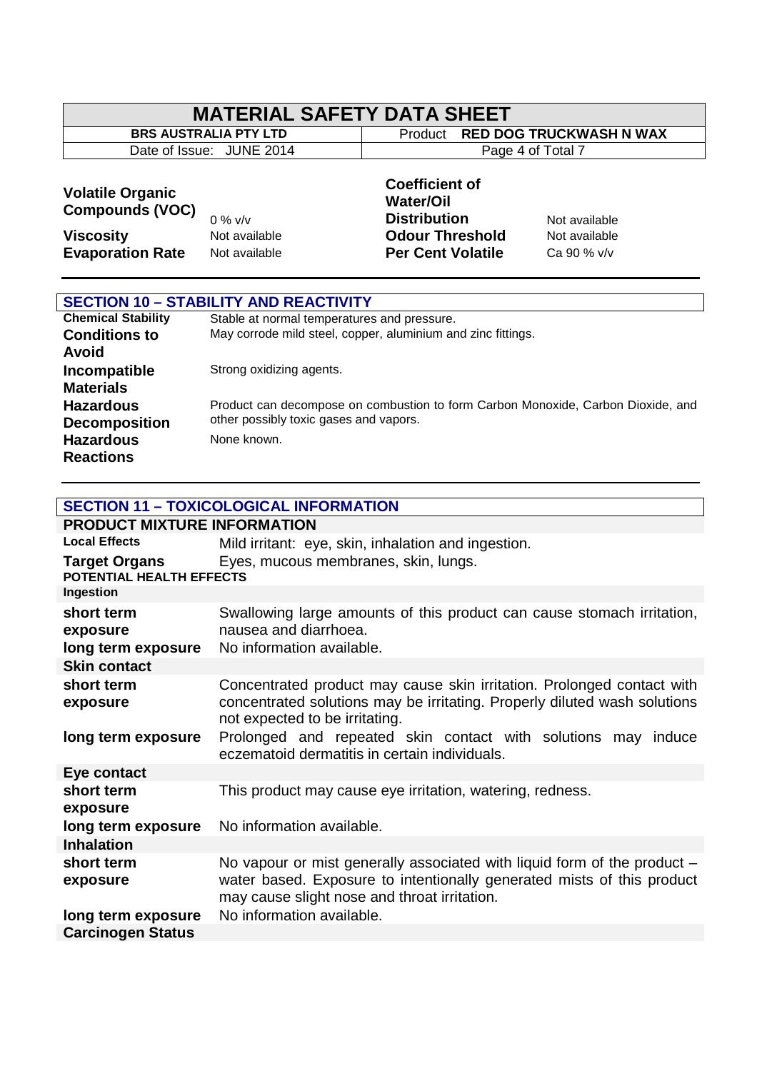# **MATERIAL SAFETY DATA SHEET**<br>BRS AUSTRALIA PTY LTD | Product RED DO

Date of Issue: JUNE 2014

**Broduct RED DOG TRUCKWASH N WAX**<br>Page 4 of Total 7

#### **Volatile Organic Compounds (VOC)**

 $\lceil$ 

# 0 % v/v

#### **Coefficient of Water/Oil Distribution** Not available **Viscosity Not available Odour Threshold** Not available **Evaporation Rate** Not available **Per Cent Volatile** Ca 90 % v/v

| <b>SECTION 10 - STABILITY AND REACTIVITY</b> |                                                                                  |  |
|----------------------------------------------|----------------------------------------------------------------------------------|--|
| <b>Chemical Stability</b>                    | Stable at normal temperatures and pressure.                                      |  |
| <b>Conditions to</b>                         | May corrode mild steel, copper, aluminium and zinc fittings.                     |  |
| Avoid                                        |                                                                                  |  |
| Incompatible                                 | Strong oxidizing agents.                                                         |  |
| <b>Materials</b>                             |                                                                                  |  |
| <b>Hazardous</b>                             | Product can decompose on combustion to form Carbon Monoxide, Carbon Dioxide, and |  |
| <b>Decomposition</b>                         | other possibly toxic gases and vapors.                                           |  |
| <b>Hazardous</b>                             | None known.                                                                      |  |
| <b>Reactions</b>                             |                                                                                  |  |

#### **SECTION 11 – TOXICOLOGICAL INFORMATION**

| <b>PRODUCT MIXTURE INFORMATION</b>               |                                                                                                                                                                                                    |
|--------------------------------------------------|----------------------------------------------------------------------------------------------------------------------------------------------------------------------------------------------------|
| <b>Local Effects</b>                             | Mild irritant: eye, skin, inhalation and ingestion.                                                                                                                                                |
| <b>Target Organs</b><br>POTENTIAL HEALTH EFFECTS | Eyes, mucous membranes, skin, lungs.                                                                                                                                                               |
| Ingestion                                        |                                                                                                                                                                                                    |
| short term<br>exposure                           | Swallowing large amounts of this product can cause stomach irritation,<br>nausea and diarrhoea.                                                                                                    |
| long term exposure                               | No information available.                                                                                                                                                                          |
| <b>Skin contact</b>                              |                                                                                                                                                                                                    |
| short term<br>exposure                           | Concentrated product may cause skin irritation. Prolonged contact with<br>concentrated solutions may be irritating. Properly diluted wash solutions<br>not expected to be irritating.              |
| long term exposure                               | Prolonged and repeated skin contact with solutions may induce<br>eczematoid dermatitis in certain individuals.                                                                                     |
| Eye contact                                      |                                                                                                                                                                                                    |
| short term<br>exposure                           | This product may cause eye irritation, watering, redness.                                                                                                                                          |
| long term exposure                               | No information available.                                                                                                                                                                          |
| <b>Inhalation</b>                                |                                                                                                                                                                                                    |
| short term<br>exposure                           | No vapour or mist generally associated with liquid form of the product -<br>water based. Exposure to intentionally generated mists of this product<br>may cause slight nose and throat irritation. |
| long term exposure                               | No information available.                                                                                                                                                                          |
| <b>Carcinogen Status</b>                         |                                                                                                                                                                                                    |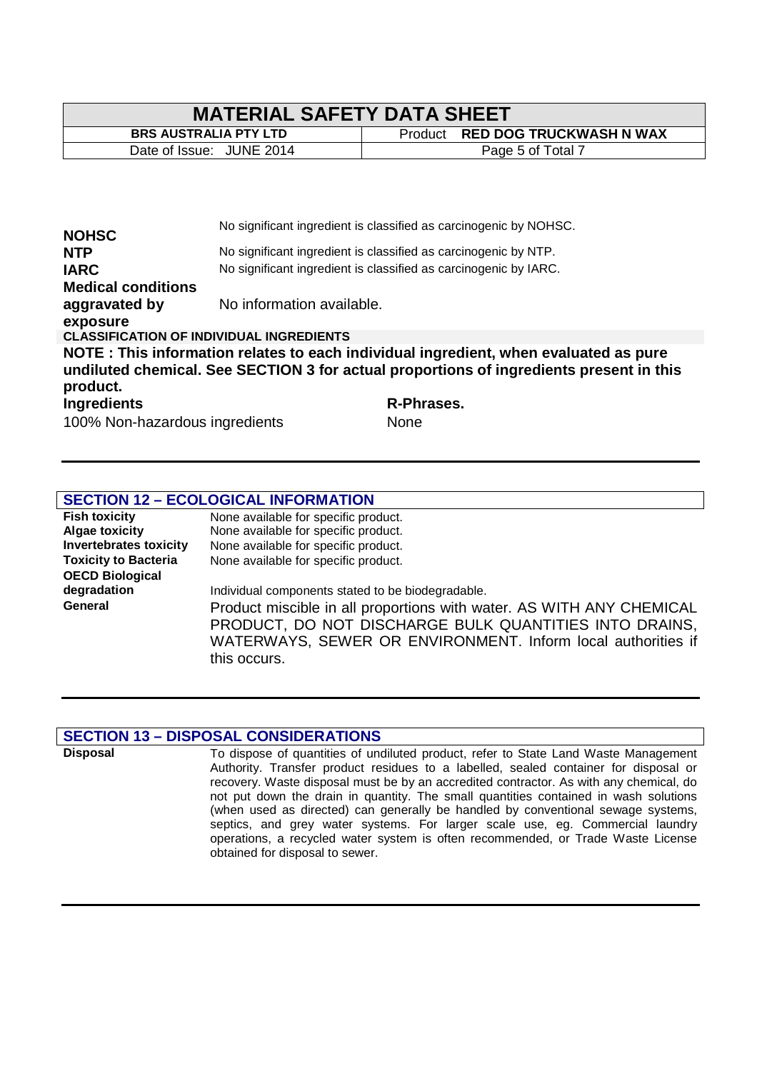## **MATERIAL SAFETY DATA SHEET**<br>BRS AUSTRALIA PTY LTD Forduct RED DO

**Broduct RED DOG TRUCKWASH N WAX** Date of Issue: JUNE 2014 Page 5 of Total 7

|                                                 | No significant ingredient is classified as carcinogenic by NOHSC.                       |
|-------------------------------------------------|-----------------------------------------------------------------------------------------|
| <b>NOHSC</b>                                    |                                                                                         |
| <b>NTP</b>                                      | No significant ingredient is classified as carcinogenic by NTP.                         |
| <b>IARC</b>                                     | No significant ingredient is classified as carcinogenic by IARC.                        |
| <b>Medical conditions</b>                       |                                                                                         |
| aggravated by                                   | No information available.                                                               |
| exposure                                        |                                                                                         |
| <b>CLASSIFICATION OF INDIVIDUAL INGREDIENTS</b> |                                                                                         |
|                                                 | NOTE: This information relates to each individual ingredient, when evaluated as pure    |
|                                                 | undiluted chemical. See SECTION 3 for actual proportions of ingredients present in this |
| product.                                        |                                                                                         |
| <b>Ingredients</b>                              | R-Phrases.                                                                              |
| 100% Non-hazardous ingredients                  | None                                                                                    |

#### **SECTION 12 – ECOLOGICAL INFORMATION**

| <b>Fish toxicity</b>          | None available for specific product.                                 |
|-------------------------------|----------------------------------------------------------------------|
| <b>Algae toxicity</b>         | None available for specific product.                                 |
| <b>Invertebrates toxicity</b> | None available for specific product.                                 |
| <b>Toxicity to Bacteria</b>   | None available for specific product.                                 |
| <b>OECD Biological</b>        |                                                                      |
| degradation                   | Individual components stated to be biodegradable.                    |
| General                       | Product miscible in all proportions with water. AS WITH ANY CHEMICAL |
|                               | PRODUCT, DO NOT DISCHARGE BULK QUANTITIES INTO DRAINS,               |
|                               | WATERWAYS, SEWER OR ENVIRONMENT. Inform local authorities if         |
|                               | this occurs.                                                         |

#### **SECTION 13 – DISPOSAL CONSIDERATIONS**

**Disposal** To dispose of quantities of undiluted product, refer to State Land Waste Management Authority. Transfer product residues to a labelled, sealed container for disposal or recovery. Waste disposal must be by an accredited contractor. As with any chemical, do not put down the drain in quantity. The small quantities contained in wash solutions (when used as directed) can generally be handled by conventional sewage systems, septics, and grey water systems. For larger scale use, eg. Commercial laundry operations, a recycled water system is often recommended, or Trade Waste License obtained for disposal to sewer.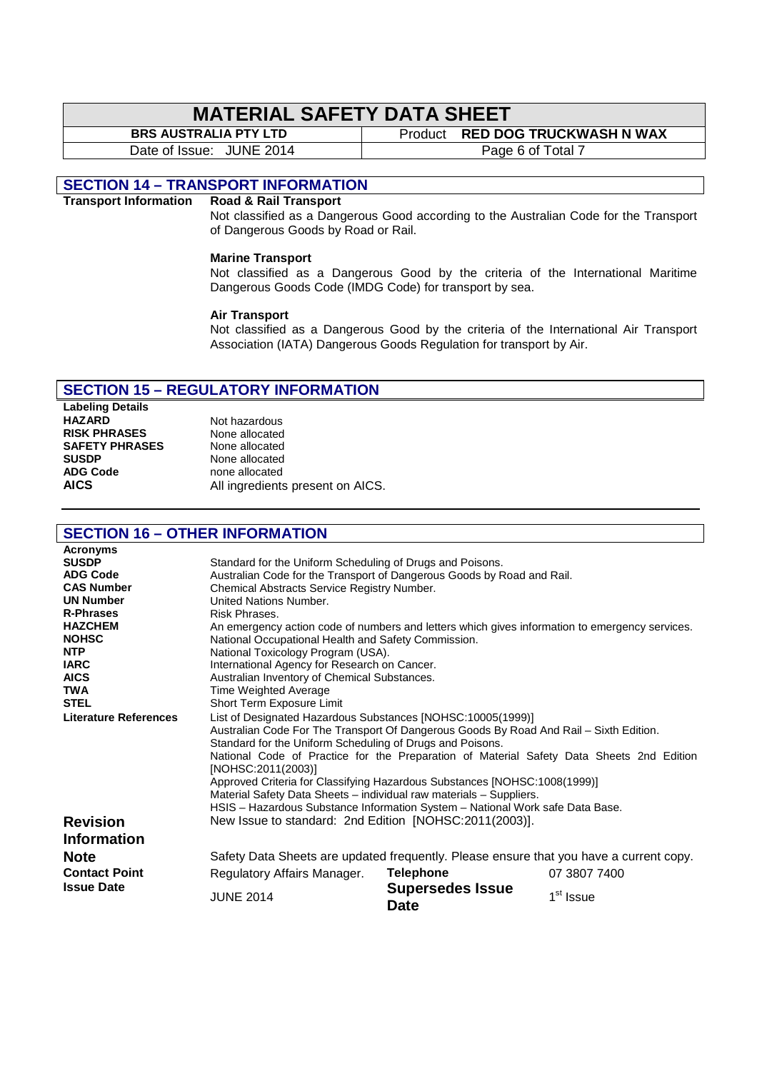# **MATERIAL SAFETY DATA SHEET**<br>BRS AUSTRALIA PTY LTD

**Broduct RED DOG TRUCKWASH N WAX** 

Date of Issue: JUNE 2014 and Taylor Page 6 of Total 7

#### **SECTION 14 – TRANSPORT INFORMATION**

#### **Transport Information Road & Rail Transport**

Not classified as a Dangerous Good according to the Australian Code for the Transport of Dangerous Goods by Road or Rail.

#### **Marine Transport**

Not classified as a Dangerous Good by the criteria of the International Maritime Dangerous Goods Code (IMDG Code) for transport by sea.

#### **Air Transport**

Not classified as a Dangerous Good by the criteria of the International Air Transport Association (IATA) Dangerous Goods Regulation for transport by Air.

#### **SECTION 15 – REGULATORY INFORMATION**

**Labeling Details HAZARD** Not hazardous<br>**RISK PHRASES** None allocated **RISK PHRASES** None allocated<br> **SAFETY PHRASES** None allocated **SAFETY PHRASES**<br>SUSDP **SUSDP** None allocated<br> **ADG Code None allocated** 

**ADG Code** none allocated **AICS** All ingredients present on AICS.

#### **SECTION 16 – OTHER INFORMATION**

| <b>Acronyms</b><br><b>SUSDP</b><br><b>ADG Code</b> | Standard for the Uniform Scheduling of Drugs and Poisons.<br>Australian Code for the Transport of Dangerous Goods by Road and Rail.                                                                                                                                                                                                                                                                                                                                                                                                                                       |                                        |                       |
|----------------------------------------------------|---------------------------------------------------------------------------------------------------------------------------------------------------------------------------------------------------------------------------------------------------------------------------------------------------------------------------------------------------------------------------------------------------------------------------------------------------------------------------------------------------------------------------------------------------------------------------|----------------------------------------|-----------------------|
| <b>CAS Number</b>                                  | Chemical Abstracts Service Registry Number.                                                                                                                                                                                                                                                                                                                                                                                                                                                                                                                               |                                        |                       |
| <b>UN Number</b>                                   | United Nations Number.                                                                                                                                                                                                                                                                                                                                                                                                                                                                                                                                                    |                                        |                       |
| <b>R-Phrases</b>                                   | Risk Phrases.                                                                                                                                                                                                                                                                                                                                                                                                                                                                                                                                                             |                                        |                       |
| <b>HAZCHEM</b>                                     | An emergency action code of numbers and letters which gives information to emergency services.                                                                                                                                                                                                                                                                                                                                                                                                                                                                            |                                        |                       |
| <b>NOHSC</b>                                       | National Occupational Health and Safety Commission.                                                                                                                                                                                                                                                                                                                                                                                                                                                                                                                       |                                        |                       |
| <b>NTP</b>                                         | National Toxicology Program (USA).                                                                                                                                                                                                                                                                                                                                                                                                                                                                                                                                        |                                        |                       |
| <b>IARC</b>                                        | International Agency for Research on Cancer.                                                                                                                                                                                                                                                                                                                                                                                                                                                                                                                              |                                        |                       |
| <b>AICS</b>                                        | Australian Inventory of Chemical Substances.                                                                                                                                                                                                                                                                                                                                                                                                                                                                                                                              |                                        |                       |
| <b>TWA</b>                                         | Time Weighted Average                                                                                                                                                                                                                                                                                                                                                                                                                                                                                                                                                     |                                        |                       |
| <b>STEL</b>                                        | Short Term Exposure Limit                                                                                                                                                                                                                                                                                                                                                                                                                                                                                                                                                 |                                        |                       |
| <b>Literature References</b>                       | List of Designated Hazardous Substances [NOHSC:10005(1999)]<br>Australian Code For The Transport Of Dangerous Goods By Road And Rail - Sixth Edition.<br>Standard for the Uniform Scheduling of Drugs and Poisons.<br>National Code of Practice for the Preparation of Material Safety Data Sheets 2nd Edition<br>[NOHSC:2011(2003)]<br>Approved Criteria for Classifying Hazardous Substances [NOHSC:1008(1999)]<br>Material Safety Data Sheets - individual raw materials - Suppliers.<br>HSIS - Hazardous Substance Information System - National Work safe Data Base. |                                        |                       |
| <b>Revision</b><br><b>Information</b>              | New Issue to standard: 2nd Edition [NOHSC:2011(2003)].                                                                                                                                                                                                                                                                                                                                                                                                                                                                                                                    |                                        |                       |
| <b>Note</b>                                        | Safety Data Sheets are updated frequently. Please ensure that you have a current copy.                                                                                                                                                                                                                                                                                                                                                                                                                                                                                    |                                        |                       |
| <b>Contact Point</b>                               | Regulatory Affairs Manager.                                                                                                                                                                                                                                                                                                                                                                                                                                                                                                                                               | <b>Telephone</b>                       | 07 3807 7400          |
| <b>Issue Date</b>                                  | <b>JUNE 2014</b>                                                                                                                                                                                                                                                                                                                                                                                                                                                                                                                                                          | <b>Supersedes Issue</b><br><b>Date</b> | 1 <sup>st</sup> Issue |